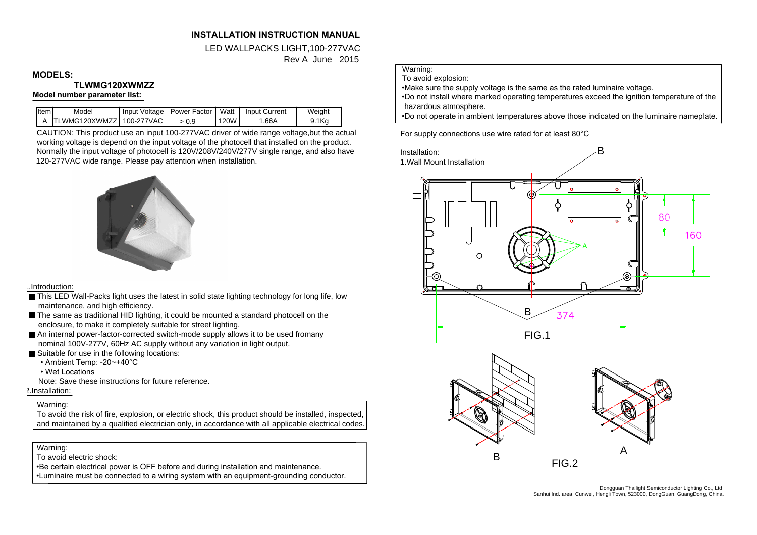# **INSTALLATION INSTRUCTION MANUALINSTALLATION INSTRUCTION MANUAL<br>LED WALLPACKS LIGHT,100-277VAC**

**UCTION MANUAL<br>IGHT,100-277VAC<br>Rev A June 2015** 

# MODELS:<br>TLWMG120XWMZZ **Model number parameter list:**

| lltem l | Model                          | Input Voltage   Power Factor   Watt |      | <b>Input Current</b> | Weight |
|---------|--------------------------------|-------------------------------------|------|----------------------|--------|
|         | A ITLWMG120XWMZZI 100-277VAC I | > 0.9                               | 120W | 1.66A                | 9.1Kg  |

CAUTION: This product use an input 100-277VAC driver of wide range voltage,but the actual working voltage is depend on the input voltage of the photocell that installed on the product.  $\frac{\text{N}}{\text{L}}$  TLWMG120XWMZZ | 100-277VAC |  $\rightarrow$  0.9 | 120W | 1.66A | 9.1Kg | CAUTION: This product use an input 100-277VAC driver of wide range voltage, but the actual working voltage is depend on the input voltage of th 120-277VAC wide range. Please pay attention when installation. ItemA Model TLWMG120XWMZZ Input Voltage 100-277VAC Input Current 1.66<sup>A</sup> Power Factor <sup>&</sup>gt; 0.9 Watt 120W Weight 9.1Kg



## 1.Introduction:

- This LED Wall-Packs light uses the maintenance, and high efficiency. <u>troduction:</u><br>This LED Wall-Packs light uses the latest in solid state lighting technology for long life<br>maintenance, and high efficiency.<br>The same as traditional HID lighting, it could be mounted a standard photocell on t maintenance, and high efficiency.<br>The same as traditional HID lighting, it could be mounted a standard photocell on the
- enclosure, to make it completely suitable for street lighting.
- An internal power-factor-corrected switch-mode supply allows it to be use nominal 100V-277V, 60Hz AC supply without any variation in light output. nominal 100V-277V, 60Hz AC supply without any variation in light output.<br>■ Suitable for use in the following locations:<br>• Ambient Temp: -20~+40°C enclosure, to make it comple<br>
■ An internal power-factor-corre<br>
nominal 100V-277V, 60Hz At<br>
■ Suitable for use in the followir<br>
• Ambient Temp: -20~+40°C
- -
	-
- Wet Locations<br>Note: Save these instructions for future reference.
- 2.Installation:

# Warning:

.<br>To avoid the risk of fire, explosion, or electric shock, this product should be installed, inspected, To avoid the risk of fire, explosion, or electric shock, this product should be installed, inspected,<br>and maintained by a qualified electrician only, in accordance with all applicable electrical codes.

Warning:

To avoid electric shock:

. Be certain electrical power is OFF before and during installation and maintenance.

•Luminaire must be connected to a wiring system with an equipment-grounding conductor.

### Warning: To avoid explosion:

• Make sure the supply voltage is the same as the rated luminaire voltage.

Warning:<br>To avoid explosion:<br>•Make sure the supply voltage is the same as the rated luminaire voltage.<br>•Do not install where marked operating temperatures exceed the ignition temperature of the hazardous atmosphere.<br>
•Do not install where marked operating temperatures e<br>
hazardous atmosphere.<br>
•Do not operate in ambient temperatures above those<br>
For supply connections use wire rated for at least 80°C hazardous atmosphere.<br>•Do not operate in ambient temperatures above those indicated on the luminaire nameplate.

Example the person was above those indice<br>tures above those indice<br>ed for at least 80°C<br>B<br>and the contract of the contract of the contract of the contract of the contract of the contract of the contract of the contract of For supply connections use wire rated for at least 80°C<br>Installation:<br>1.Wall Mount Installation Installation: C  $80^{\circ}$  $\overline{\bullet}$ 



Dongguan Thailight Semiconductor Lighting Co., Ltd<br>Sanhui Ind. area, Cunwei, Hengli Town, 523000, DongGuan, GuangDong, China.